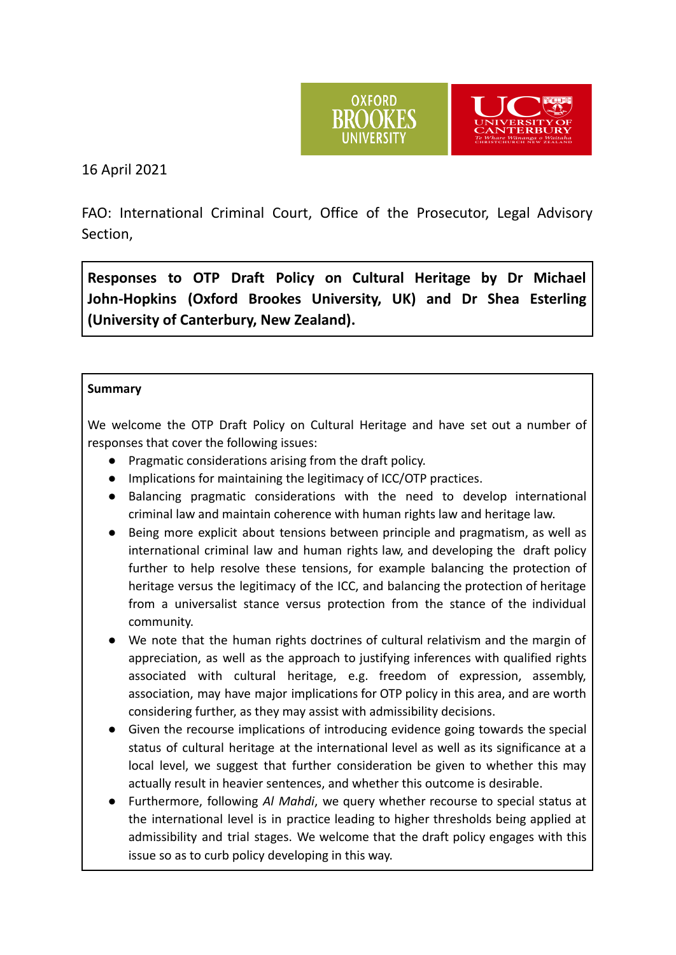



16 April 2021

FAO: International Criminal Court, Office of the Prosecutor, Legal Advisory Section,

**Responses to OTP Draft Policy on Cultural Heritage by Dr Michael John-Hopkins (Oxford Brookes University, UK) and Dr Shea Esterling (University of Canterbury, New Zealand).**

### **Summary**

We welcome the OTP Draft Policy on Cultural Heritage and have set out a number of responses that cover the following issues:

- Pragmatic considerations arising from the draft policy.
- Implications for maintaining the legitimacy of ICC/OTP practices.
- Balancing pragmatic considerations with the need to develop international criminal law and maintain coherence with human rights law and heritage law.
- Being more explicit about tensions between principle and pragmatism, as well as international criminal law and human rights law, and developing the draft policy further to help resolve these tensions, for example balancing the protection of heritage versus the legitimacy of the ICC, and balancing the protection of heritage from a universalist stance versus protection from the stance of the individual community.
- We note that the human rights doctrines of cultural relativism and the margin of appreciation, as well as the approach to justifying inferences with qualified rights associated with cultural heritage, e.g. freedom of expression, assembly, association, may have major implications for OTP policy in this area, and are worth considering further, as they may assist with admissibility decisions.
- Given the recourse implications of introducing evidence going towards the special status of cultural heritage at the international level as well as its significance at a local level, we suggest that further consideration be given to whether this may actually result in heavier sentences, and whether this outcome is desirable.
- Furthermore, following *Al Mahdi*, we query whether recourse to special status at the international level is in practice leading to higher thresholds being applied at admissibility and trial stages. We welcome that the draft policy engages with this issue so as to curb policy developing in this way.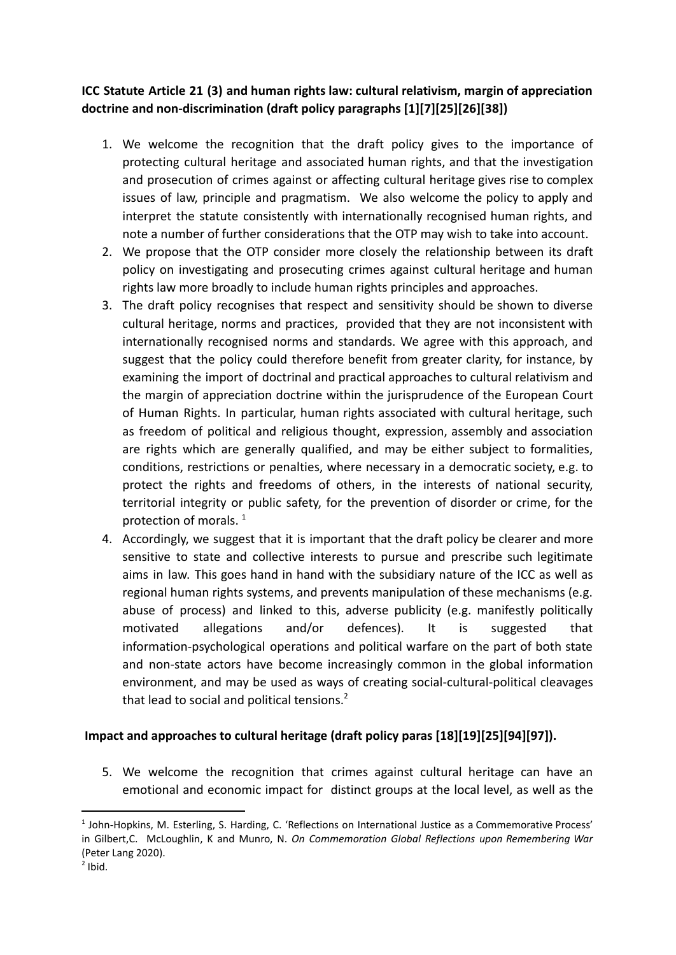## **ICC Statute Article 21 (3) and human rights law: cultural relativism, margin of appreciation doctrine and non-discrimination (draft policy paragraphs [1][7][25][26][38])**

- 1. We welcome the recognition that the draft policy gives to the importance of protecting cultural heritage and associated human rights, and that the investigation and prosecution of crimes against or affecting cultural heritage gives rise to complex issues of law, principle and pragmatism. We also welcome the policy to apply and interpret the statute consistently with internationally recognised human rights, and note a number of further considerations that the OTP may wish to take into account.
- 2. We propose that the OTP consider more closely the relationship between its draft policy on investigating and prosecuting crimes against cultural heritage and human rights law more broadly to include human rights principles and approaches.
- 3. The draft policy recognises that respect and sensitivity should be shown to diverse cultural heritage, norms and practices, provided that they are not inconsistent with internationally recognised norms and standards. We agree with this approach, and suggest that the policy could therefore benefit from greater clarity, for instance, by examining the import of doctrinal and practical approaches to cultural relativism and the margin of appreciation doctrine within the jurisprudence of the European Court of Human Rights. In particular, human rights associated with cultural heritage, such as freedom of political and religious thought, expression, assembly and association are rights which are generally qualified, and may be either subject to formalities, conditions, restrictions or penalties, where necessary in a democratic society, e.g. to protect the rights and freedoms of others, in the interests of national security, territorial integrity or public safety, for the prevention of disorder or crime, for the protection of morals.<sup>1</sup>
- 4. Accordingly, we suggest that it is important that the draft policy be clearer and more sensitive to state and collective interests to pursue and prescribe such legitimate aims in law. This goes hand in hand with the subsidiary nature of the ICC as well as regional human rights systems, and prevents manipulation of these mechanisms (e.g. abuse of process) and linked to this, adverse publicity (e.g. manifestly politically motivated allegations and/or defences). It is suggested that information-psychological operations and political warfare on the part of both state and non-state actors have become increasingly common in the global information environment, and may be used as ways of creating social-cultural-political cleavages that lead to social and political tensions. $2$

## **Impact and approaches to cultural heritage (draft policy paras [18][19][25][94][97]).**

5. We welcome the recognition that crimes against cultural heritage can have an emotional and economic impact for distinct groups at the local level, as well as the

<sup>&</sup>lt;sup>1</sup> John-Hopkins, M. Esterling, S. Harding, C. 'Reflections on International Justice as a Commemorative Process' in Gilbert,C. McLoughlin, K and Munro, N. *On Commemoration Global Reflections upon Remembering War* (Peter Lang 2020).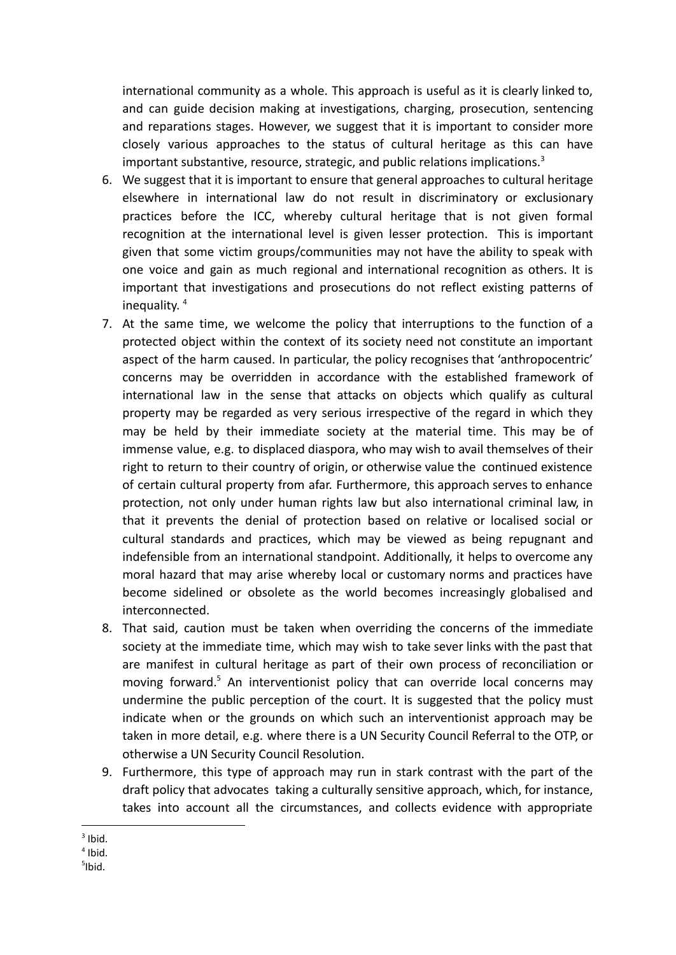international community as a whole. This approach is useful as it is clearly linked to, and can guide decision making at investigations, charging, prosecution, sentencing and reparations stages. However, we suggest that it is important to consider more closely various approaches to the status of cultural heritage as this can have important substantive, resource, strategic, and public relations implications.<sup>3</sup>

- 6. We suggest that it is important to ensure that general approaches to cultural heritage elsewhere in international law do not result in discriminatory or exclusionary practices before the ICC, whereby cultural heritage that is not given formal recognition at the international level is given lesser protection. This is important given that some victim groups/communities may not have the ability to speak with one voice and gain as much regional and international recognition as others. It is important that investigations and prosecutions do not reflect existing patterns of inequality. 4
- 7. At the same time, we welcome the policy that interruptions to the function of a protected object within the context of its society need not constitute an important aspect of the harm caused. In particular, the policy recognises that 'anthropocentric' concerns may be overridden in accordance with the established framework of international law in the sense that attacks on objects which qualify as cultural property may be regarded as very serious irrespective of the regard in which they may be held by their immediate society at the material time. This may be of immense value, e.g. to displaced diaspora, who may wish to avail themselves of their right to return to their country of origin, or otherwise value the continued existence of certain cultural property from afar. Furthermore, this approach serves to enhance protection, not only under human rights law but also international criminal law, in that it prevents the denial of protection based on relative or localised social or cultural standards and practices, which may be viewed as being repugnant and indefensible from an international standpoint. Additionally, it helps to overcome any moral hazard that may arise whereby local or customary norms and practices have become sidelined or obsolete as the world becomes increasingly globalised and interconnected.
- 8. That said, caution must be taken when overriding the concerns of the immediate society at the immediate time, which may wish to take sever links with the past that are manifest in cultural heritage as part of their own process of reconciliation or moving forward.<sup>5</sup> An interventionist policy that can override local concerns may undermine the public perception of the court. It is suggested that the policy must indicate when or the grounds on which such an interventionist approach may be taken in more detail, e.g. where there is a UN Security Council Referral to the OTP, or otherwise a UN Security Council Resolution.
- 9. Furthermore, this type of approach may run in stark contrast with the part of the draft policy that advocates taking a culturally sensitive approach, which, for instance, takes into account all the circumstances, and collects evidence with appropriate

 $3$  Ibid.

<sup>4</sup> Ibid.

 $5$ Ibid.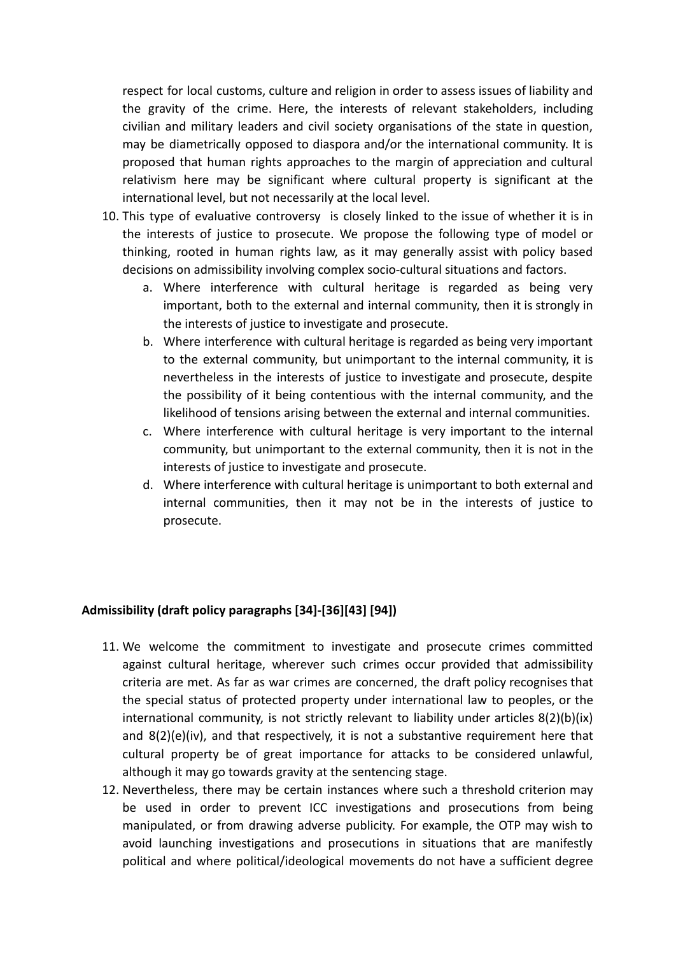respect for local customs, culture and religion in order to assess issues of liability and the gravity of the crime. Here, the interests of relevant stakeholders, including civilian and military leaders and civil society organisations of the state in question, may be diametrically opposed to diaspora and/or the international community. It is proposed that human rights approaches to the margin of appreciation and cultural relativism here may be significant where cultural property is significant at the international level, but not necessarily at the local level.

- 10. This type of evaluative controversy is closely linked to the issue of whether it is in the interests of justice to prosecute. We propose the following type of model or thinking, rooted in human rights law, as it may generally assist with policy based decisions on admissibility involving complex socio-cultural situations and factors.
	- a. Where interference with cultural heritage is regarded as being very important, both to the external and internal community, then it is strongly in the interests of justice to investigate and prosecute.
	- b. Where interference with cultural heritage is regarded as being very important to the external community, but unimportant to the internal community, it is nevertheless in the interests of justice to investigate and prosecute, despite the possibility of it being contentious with the internal community, and the likelihood of tensions arising between the external and internal communities.
	- c. Where interference with cultural heritage is very important to the internal community, but unimportant to the external community, then it is not in the interests of justice to investigate and prosecute.
	- d. Where interference with cultural heritage is unimportant to both external and internal communities, then it may not be in the interests of justice to prosecute.

#### **Admissibility (draft policy paragraphs [34]-[36][43] [94])**

- 11. We welcome the commitment to investigate and prosecute crimes committed against cultural heritage, wherever such crimes occur provided that admissibility criteria are met. As far as war crimes are concerned, the draft policy recognises that the special status of protected property under international law to peoples, or the international community, is not strictly relevant to liability under articles 8(2)(b)(ix) and 8(2)(e)(iv), and that respectively, it is not a substantive requirement here that cultural property be of great importance for attacks to be considered unlawful, although it may go towards gravity at the sentencing stage.
- 12. Nevertheless, there may be certain instances where such a threshold criterion may be used in order to prevent ICC investigations and prosecutions from being manipulated, or from drawing adverse publicity. For example, the OTP may wish to avoid launching investigations and prosecutions in situations that are manifestly political and where political/ideological movements do not have a sufficient degree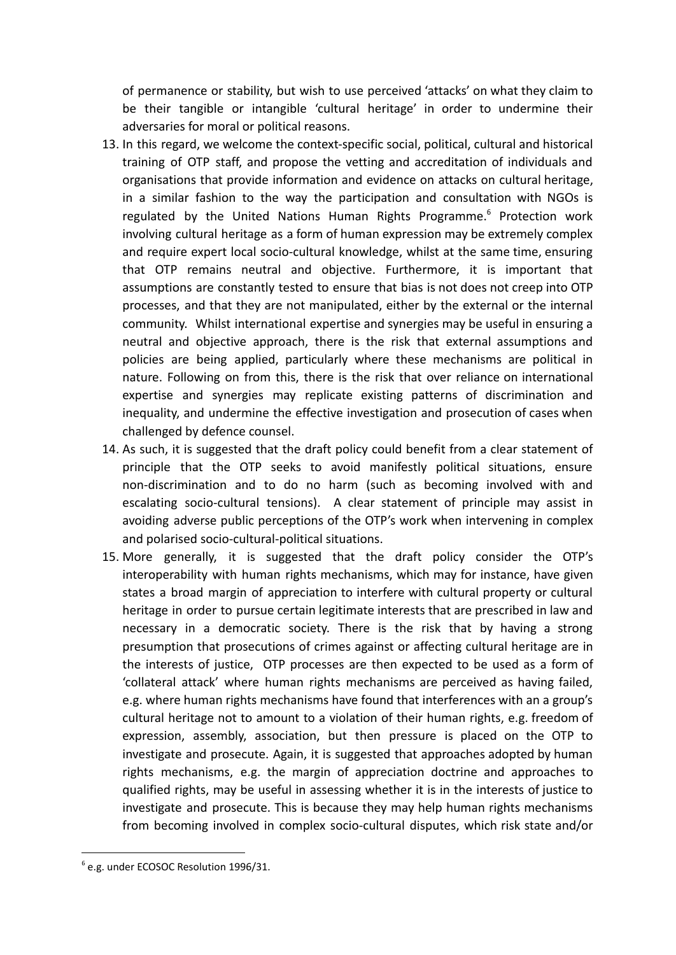of permanence or stability, but wish to use perceived 'attacks' on what they claim to be their tangible or intangible 'cultural heritage' in order to undermine their adversaries for moral or political reasons.

- 13. In this regard, we welcome the context-specific social, political, cultural and historical training of OTP staff, and propose the vetting and accreditation of individuals and organisations that provide information and evidence on attacks on cultural heritage, in a similar fashion to the way the participation and consultation with NGOs is regulated by the United Nations Human Rights Programme.<sup>6</sup> Protection work involving cultural heritage as a form of human expression may be extremely complex and require expert local socio-cultural knowledge, whilst at the same time, ensuring that OTP remains neutral and objective. Furthermore, it is important that assumptions are constantly tested to ensure that bias is not does not creep into OTP processes, and that they are not manipulated, either by the external or the internal community. Whilst international expertise and synergies may be useful in ensuring a neutral and objective approach, there is the risk that external assumptions and policies are being applied, particularly where these mechanisms are political in nature. Following on from this, there is the risk that over reliance on international expertise and synergies may replicate existing patterns of discrimination and inequality, and undermine the effective investigation and prosecution of cases when challenged by defence counsel.
- 14. As such, it is suggested that the draft policy could benefit from a clear statement of principle that the OTP seeks to avoid manifestly political situations, ensure non-discrimination and to do no harm (such as becoming involved with and escalating socio-cultural tensions). A clear statement of principle may assist in avoiding adverse public perceptions of the OTP's work when intervening in complex and polarised socio-cultural-political situations.
- 15. More generally, it is suggested that the draft policy consider the OTP's interoperability with human rights mechanisms, which may for instance, have given states a broad margin of appreciation to interfere with cultural property or cultural heritage in order to pursue certain legitimate interests that are prescribed in law and necessary in a democratic society. There is the risk that by having a strong presumption that prosecutions of crimes against or affecting cultural heritage are in the interests of justice, OTP processes are then expected to be used as a form of 'collateral attack' where human rights mechanisms are perceived as having failed, e.g. where human rights mechanisms have found that interferences with an a group's cultural heritage not to amount to a violation of their human rights, e.g. freedom of expression, assembly, association, but then pressure is placed on the OTP to investigate and prosecute. Again, it is suggested that approaches adopted by human rights mechanisms, e.g. the margin of appreciation doctrine and approaches to qualified rights, may be useful in assessing whether it is in the interests of justice to investigate and prosecute. This is because they may help human rights mechanisms from becoming involved in complex socio-cultural disputes, which risk state and/or

<sup>6</sup> e.g. under ECOSOC Resolution 1996/31.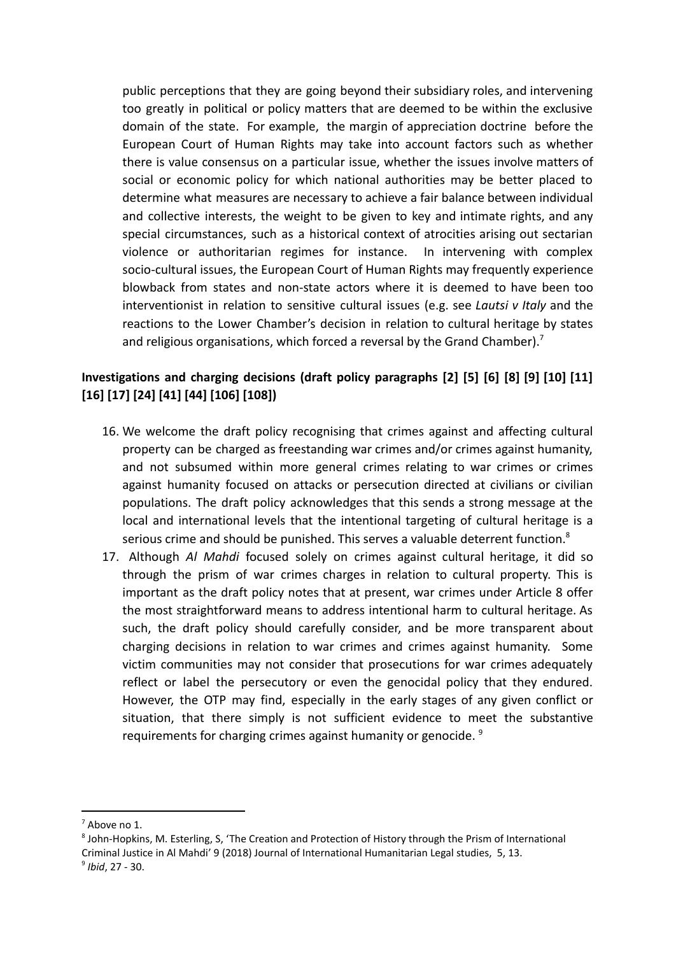public perceptions that they are going beyond their subsidiary roles, and intervening too greatly in political or policy matters that are deemed to be within the exclusive domain of the state. For example, the margin of appreciation doctrine before the European Court of Human Rights may take into account factors such as whether there is value consensus on a particular issue, whether the issues involve matters of social or economic policy for which national authorities may be better placed to determine what measures are necessary to achieve a fair balance between individual and collective interests, the weight to be given to key and intimate rights, and any special circumstances, such as a historical context of atrocities arising out sectarian violence or authoritarian regimes for instance. In intervening with complex socio-cultural issues, the European Court of Human Rights may frequently experience blowback from states and non-state actors where it is deemed to have been too interventionist in relation to sensitive cultural issues (e.g. see *Lautsi v Italy* and the reactions to the Lower Chamber's decision in relation to cultural heritage by states and religious organisations, which forced a reversal by the Grand Chamber).<sup>7</sup>

## **Investigations and charging decisions (draft policy paragraphs [2] [5] [6] [8] [9] [10] [11] [16] [17] [24] [41] [44] [106] [108])**

- 16. We welcome the draft policy recognising that crimes against and affecting cultural property can be charged as freestanding war crimes and/or crimes against humanity, and not subsumed within more general crimes relating to war crimes or crimes against humanity focused on attacks or persecution directed at civilians or civilian populations. The draft policy acknowledges that this sends a strong message at the local and international levels that the intentional targeting of cultural heritage is a serious crime and should be punished. This serves a valuable deterrent function.<sup>8</sup>
- 17. Although *Al Mahdi* focused solely on crimes against cultural heritage, it did so through the prism of war crimes charges in relation to cultural property. This is important as the draft policy notes that at present, war crimes under Article 8 offer the most straightforward means to address intentional harm to cultural heritage. As such, the draft policy should carefully consider, and be more transparent about charging decisions in relation to war crimes and crimes against humanity. Some victim communities may not consider that prosecutions for war crimes adequately reflect or label the persecutory or even the genocidal policy that they endured. However, the OTP may find, especially in the early stages of any given conflict or situation, that there simply is not sufficient evidence to meet the substantive requirements for charging crimes against humanity or genocide.<sup>9</sup>

<sup>7</sup> Above no 1.

<sup>9</sup> *Ibid*, 27 - 30. 8 John-Hopkins, M. Esterling, S, 'The Creation and Protection of History through the Prism of International Criminal Justice in Al Mahdi' 9 (2018) Journal of International Humanitarian Legal studies, 5, 13.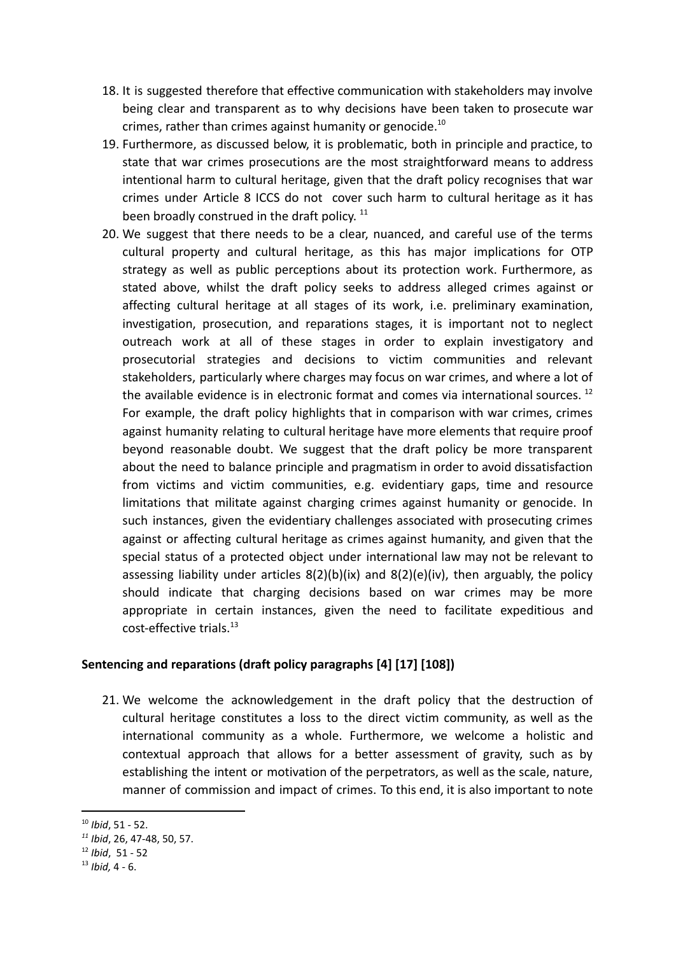- 18. It is suggested therefore that effective communication with stakeholders may involve being clear and transparent as to why decisions have been taken to prosecute war crimes, rather than crimes against humanity or genocide.<sup>10</sup>
- 19. Furthermore, as discussed below, it is problematic, both in principle and practice, to state that war crimes prosecutions are the most straightforward means to address intentional harm to cultural heritage, given that the draft policy recognises that war crimes under Article 8 ICCS do not cover such harm to cultural heritage as it has been broadly construed in the draft policy.<sup>11</sup>
- 20. We suggest that there needs to be a clear, nuanced, and careful use of the terms cultural property and cultural heritage, as this has major implications for OTP strategy as well as public perceptions about its protection work. Furthermore, as stated above, whilst the draft policy seeks to address alleged crimes against or affecting cultural heritage at all stages of its work, i.e. preliminary examination, investigation, prosecution, and reparations stages, it is important not to neglect outreach work at all of these stages in order to explain investigatory and prosecutorial strategies and decisions to victim communities and relevant stakeholders, particularly where charges may focus on war crimes, and where a lot of the available evidence is in electronic format and comes via international sources.  $^{12}$ For example, the draft policy highlights that in comparison with war crimes, crimes against humanity relating to cultural heritage have more elements that require proof beyond reasonable doubt. We suggest that the draft policy be more transparent about the need to balance principle and pragmatism in order to avoid dissatisfaction from victims and victim communities, e.g. evidentiary gaps, time and resource limitations that militate against charging crimes against humanity or genocide. In such instances, given the evidentiary challenges associated with prosecuting crimes against or affecting cultural heritage as crimes against humanity, and given that the special status of a protected object under international law may not be relevant to assessing liability under articles  $8(2)(b)(ix)$  and  $8(2)(e)(iv)$ , then arguably, the policy should indicate that charging decisions based on war crimes may be more appropriate in certain instances, given the need to facilitate expeditious and cost-effective trials.<sup>13</sup>

#### **Sentencing and reparations (draft policy paragraphs [4] [17] [108])**

21. We welcome the acknowledgement in the draft policy that the destruction of cultural heritage constitutes a loss to the direct victim community, as well as the international community as a whole. Furthermore, we welcome a holistic and contextual approach that allows for a better assessment of gravity, such as by establishing the intent or motivation of the perpetrators, as well as the scale, nature, manner of commission and impact of crimes. To this end, it is also important to note

<sup>10</sup> *Ibid*, 51 - 52.

*<sup>11</sup> Ibid*, 26, 47-48, 50, 57.

<sup>12</sup> *Ibid*, 51 - 52

<sup>13</sup> *Ibid,* 4 - 6.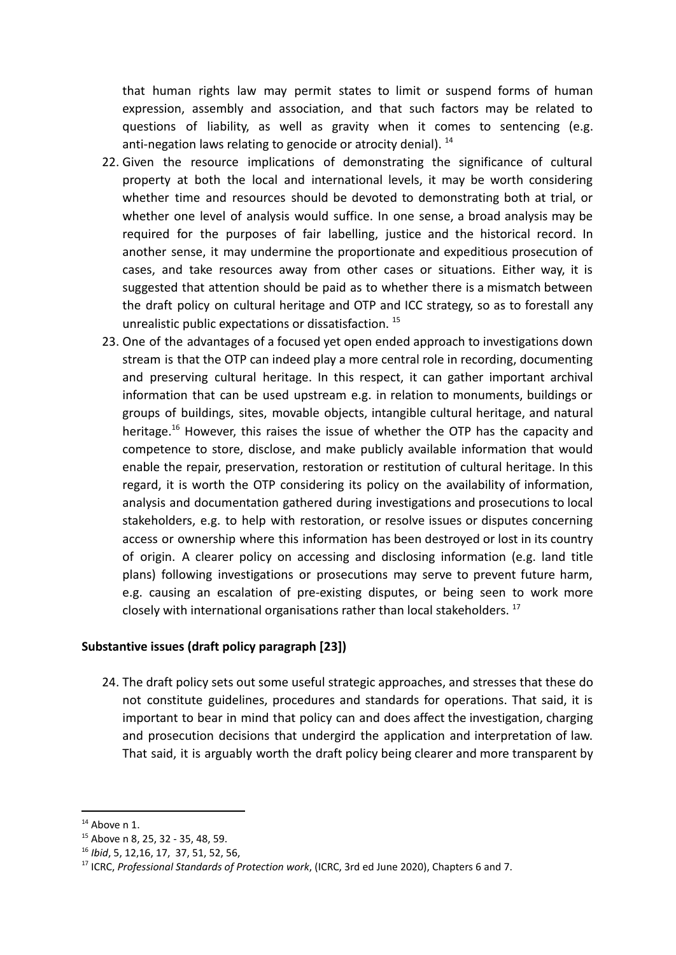that human rights law may permit states to limit or suspend forms of human expression, assembly and association, and that such factors may be related to questions of liability, as well as gravity when it comes to sentencing (e.g. anti-negation laws relating to genocide or atrocity denial).  $^{14}$ 

- 22. Given the resource implications of demonstrating the significance of cultural property at both the local and international levels, it may be worth considering whether time and resources should be devoted to demonstrating both at trial, or whether one level of analysis would suffice. In one sense, a broad analysis may be required for the purposes of fair labelling, justice and the historical record. In another sense, it may undermine the proportionate and expeditious prosecution of cases, and take resources away from other cases or situations. Either way, it is suggested that attention should be paid as to whether there is a mismatch between the draft policy on cultural heritage and OTP and ICC strategy, so as to forestall any unrealistic public expectations or dissatisfaction.<sup>15</sup>
- 23. One of the advantages of a focused yet open ended approach to investigations down stream is that the OTP can indeed play a more central role in recording, documenting and preserving cultural heritage. In this respect, it can gather important archival information that can be used upstream e.g. in relation to monuments, buildings or groups of buildings, sites, movable objects, intangible cultural heritage, and natural heritage.<sup>16</sup> However, this raises the issue of whether the OTP has the capacity and competence to store, disclose, and make publicly available information that would enable the repair, preservation, restoration or restitution of cultural heritage. In this regard, it is worth the OTP considering its policy on the availability of information, analysis and documentation gathered during investigations and prosecutions to local stakeholders, e.g. to help with restoration, or resolve issues or disputes concerning access or ownership where this information has been destroyed or lost in its country of origin. A clearer policy on accessing and disclosing information (e.g. land title plans) following investigations or prosecutions may serve to prevent future harm, e.g. causing an escalation of pre-existing disputes, or being seen to work more closely with international organisations rather than local stakeholders.<sup>17</sup>

#### **Substantive issues (draft policy paragraph [23])**

24. The draft policy sets out some useful strategic approaches, and stresses that these do not constitute guidelines, procedures and standards for operations. That said, it is important to bear in mind that policy can and does affect the investigation, charging and prosecution decisions that undergird the application and interpretation of law. That said, it is arguably worth the draft policy being clearer and more transparent by

 $14$  Above n 1.

<sup>15</sup> Above n 8, 25, 32 - 35, 48, 59.

<sup>16</sup> *Ibid*, 5, 12,16, 17, 37, 51, 52, 56,

<sup>17</sup> ICRC, *Professional Standards of Protection work*, (ICRC, 3rd ed June 2020), Chapters 6 and 7.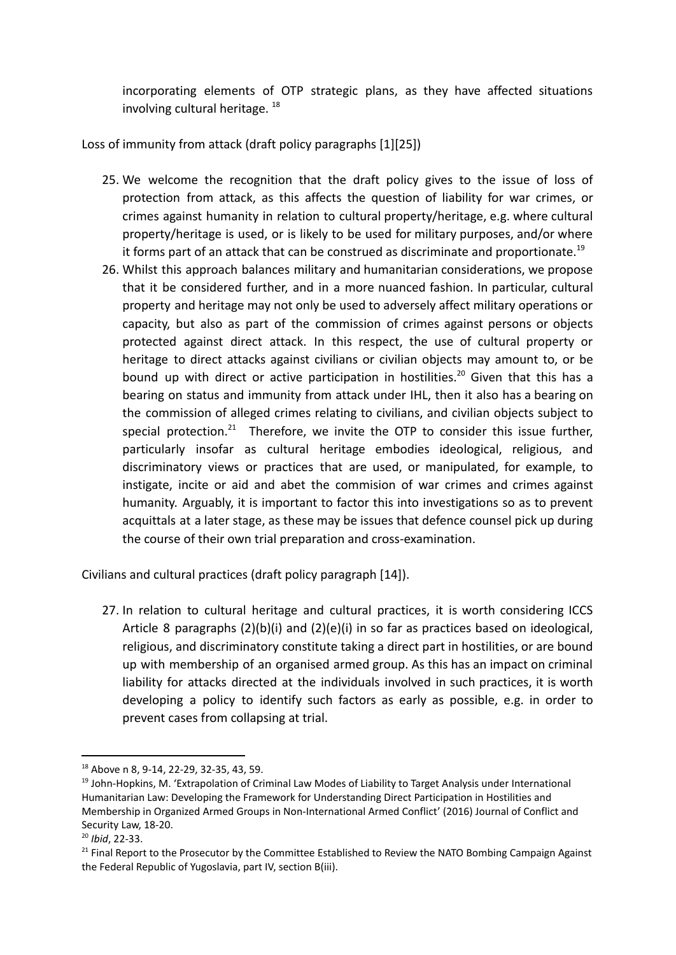incorporating elements of OTP strategic plans, as they have affected situations involving cultural heritage.  $^{18}$ 

Loss of immunity from attack (draft policy paragraphs [1][25])

- 25. We welcome the recognition that the draft policy gives to the issue of loss of protection from attack, as this affects the question of liability for war crimes, or crimes against humanity in relation to cultural property/heritage, e.g. where cultural property/heritage is used, or is likely to be used for military purposes, and/or where it forms part of an attack that can be construed as discriminate and proportionate.<sup>19</sup>
- 26. Whilst this approach balances military and humanitarian considerations, we propose that it be considered further, and in a more nuanced fashion. In particular, cultural property and heritage may not only be used to adversely affect military operations or capacity, but also as part of the commission of crimes against persons or objects protected against direct attack. In this respect, the use of cultural property or heritage to direct attacks against civilians or civilian objects may amount to, or be bound up with direct or active participation in hostilities.<sup>20</sup> Given that this has a bearing on status and immunity from attack under IHL, then it also has a bearing on the commission of alleged crimes relating to civilians, and civilian objects subject to special protection.<sup>21</sup> Therefore, we invite the OTP to consider this issue further, particularly insofar as cultural heritage embodies ideological, religious, and discriminatory views or practices that are used, or manipulated, for example, to instigate, incite or aid and abet the commision of war crimes and crimes against humanity. Arguably, it is important to factor this into investigations so as to prevent acquittals at a later stage, as these may be issues that defence counsel pick up during the course of their own trial preparation and cross-examination.

Civilians and cultural practices (draft policy paragraph [14]).

27. In relation to cultural heritage and cultural practices, it is worth considering ICCS Article 8 paragraphs (2)(b)(i) and (2)(e)(i) in so far as practices based on ideological, religious, and discriminatory constitute taking a direct part in hostilities, or are bound up with membership of an organised armed group. As this has an impact on criminal liability for attacks directed at the individuals involved in such practices, it is worth developing a policy to identify such factors as early as possible, e.g. in order to prevent cases from collapsing at trial.

<sup>18</sup> Above n 8, 9-14, 22-29, 32-35, 43, 59.

<sup>&</sup>lt;sup>19</sup> John-Hopkins, M. 'Extrapolation of Criminal Law Modes of Liability to Target Analysis under International Humanitarian Law: Developing the Framework for Understanding Direct Participation in Hostilities and Membership in Organized Armed Groups in Non-International Armed Conflict' (2016) Journal of Conflict and Security Law, 18-20.

<sup>20</sup> *Ibid*, 22-33.

 $21$  Final Report to the Prosecutor by the Committee Established to Review the NATO Bombing Campaign Against the Federal Republic of Yugoslavia, part IV, section B(iii).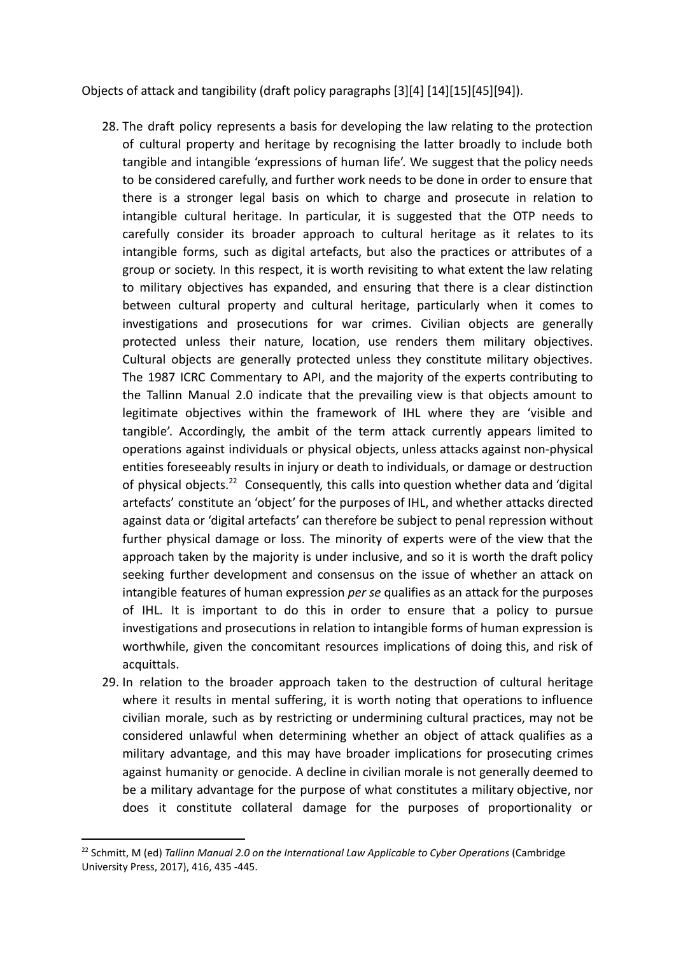Objects of attack and tangibility (draft policy paragraphs [3][4] [14][15][45][94]).

- 28. The draft policy represents a basis for developing the law relating to the protection of cultural property and heritage by recognising the latter broadly to include both tangible and intangible 'expressions of human life'. We suggest that the policy needs to be considered carefully, and further work needs to be done in order to ensure that there is a stronger legal basis on which to charge and prosecute in relation to intangible cultural heritage. In particular, it is suggested that the OTP needs to carefully consider its broader approach to cultural heritage as it relates to its intangible forms, such as digital artefacts, but also the practices or attributes of a group or society. In this respect, it is worth revisiting to what extent the law relating to military objectives has expanded, and ensuring that there is a clear distinction between cultural property and cultural heritage, particularly when it comes to investigations and prosecutions for war crimes. Civilian objects are generally protected unless their nature, location, use renders them military objectives. Cultural objects are generally protected unless they constitute military objectives. The 1987 ICRC Commentary to API, and the majority of the experts contributing to the Tallinn Manual 2.0 indicate that the prevailing view is that objects amount to legitimate objectives within the framework of IHL where they are 'visible and tangible'. Accordingly, the ambit of the term attack currently appears limited to operations against individuals or physical objects, unless attacks against non-physical entities foreseeably results in injury or death to individuals, or damage or destruction of physical objects.<sup>22</sup> Consequently, this calls into question whether data and 'digital artefacts' constitute an 'object' for the purposes of IHL, and whether attacks directed against data or 'digital artefacts' can therefore be subject to penal repression without further physical damage or loss. The minority of experts were of the view that the approach taken by the majority is under inclusive, and so it is worth the draft policy seeking further development and consensus on the issue of whether an attack on intangible features of human expression *per se* qualifies as an attack for the purposes of IHL. It is important to do this in order to ensure that a policy to pursue investigations and prosecutions in relation to intangible forms of human expression is worthwhile, given the concomitant resources implications of doing this, and risk of acquittals.
- 29. In relation to the broader approach taken to the destruction of cultural heritage where it results in mental suffering, it is worth noting that operations to influence civilian morale, such as by restricting or undermining cultural practices, may not be considered unlawful when determining whether an object of attack qualifies as a military advantage, and this may have broader implications for prosecuting crimes against humanity or genocide. A decline in civilian morale is not generally deemed to be a military advantage for the purpose of what constitutes a military objective, nor does it constitute collateral damage for the purposes of proportionality or

<sup>22</sup> Schmitt, M (ed) *Tallinn Manual 2.0 on the International Law Applicable to Cyber Operations* (Cambridge University Press, 2017), 416, 435 -445.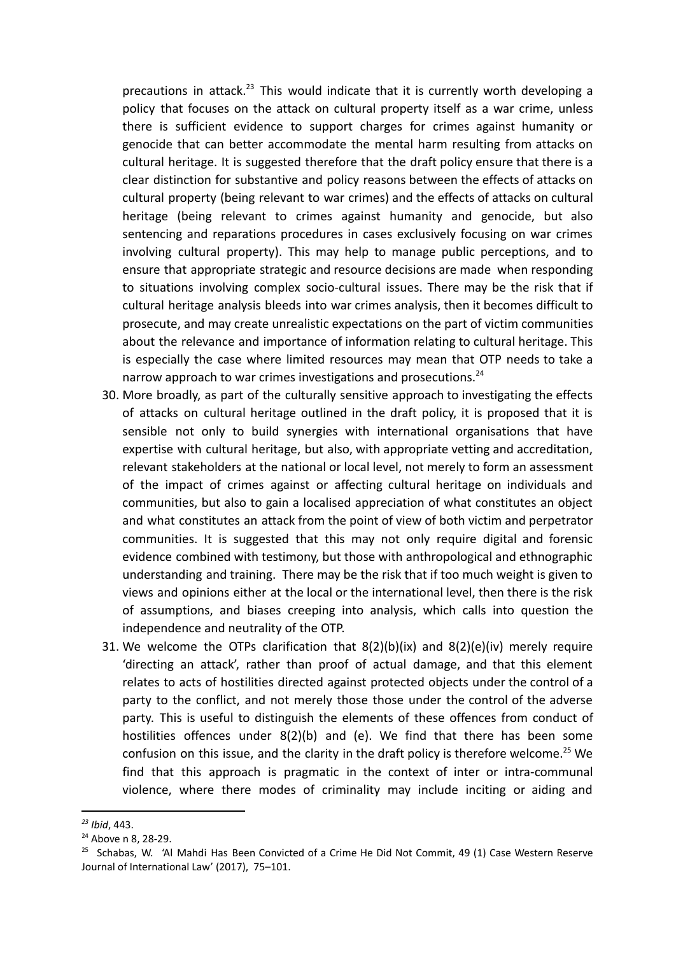precautions in attack.<sup>23</sup> This would indicate that it is currently worth developing a policy that focuses on the attack on cultural property itself as a war crime, unless there is sufficient evidence to support charges for crimes against humanity or genocide that can better accommodate the mental harm resulting from attacks on cultural heritage. It is suggested therefore that the draft policy ensure that there is a clear distinction for substantive and policy reasons between the effects of attacks on cultural property (being relevant to war crimes) and the effects of attacks on cultural heritage (being relevant to crimes against humanity and genocide, but also sentencing and reparations procedures in cases exclusively focusing on war crimes involving cultural property). This may help to manage public perceptions, and to ensure that appropriate strategic and resource decisions are made when responding to situations involving complex socio-cultural issues. There may be the risk that if cultural heritage analysis bleeds into war crimes analysis, then it becomes difficult to prosecute, and may create unrealistic expectations on the part of victim communities about the relevance and importance of information relating to cultural heritage. This is especially the case where limited resources may mean that OTP needs to take a narrow approach to war crimes investigations and prosecutions.<sup>24</sup>

- 30. More broadly, as part of the culturally sensitive approach to investigating the effects of attacks on cultural heritage outlined in the draft policy, it is proposed that it is sensible not only to build synergies with international organisations that have expertise with cultural heritage, but also, with appropriate vetting and accreditation, relevant stakeholders at the national or local level, not merely to form an assessment of the impact of crimes against or affecting cultural heritage on individuals and communities, but also to gain a localised appreciation of what constitutes an object and what constitutes an attack from the point of view of both victim and perpetrator communities. It is suggested that this may not only require digital and forensic evidence combined with testimony, but those with anthropological and ethnographic understanding and training. There may be the risk that if too much weight is given to views and opinions either at the local or the international level, then there is the risk of assumptions, and biases creeping into analysis, which calls into question the independence and neutrality of the OTP.
- 31. We welcome the OTPs clarification that 8(2)(b)(ix) and 8(2)(e)(iv) merely require 'directing an attack', rather than proof of actual damage, and that this element relates to acts of hostilities directed against protected objects under the control of a party to the conflict, and not merely those those under the control of the adverse party. This is useful to distinguish the elements of these offences from conduct of hostilities offences under 8(2)(b) and (e). We find that there has been some confusion on this issue, and the clarity in the draft policy is therefore welcome.<sup>25</sup> We find that this approach is pragmatic in the context of inter or intra-communal violence, where there modes of criminality may include inciting or aiding and

*<sup>23</sup> Ibid*, 443.

<sup>&</sup>lt;sup>24</sup> Above n 8, 28-29.

<sup>&</sup>lt;sup>25</sup> Schabas, W. 'Al Mahdi Has Been Convicted of a Crime He Did Not Commit, 49 (1) Case Western Reserve Journal of International Law' (2017), 75–101.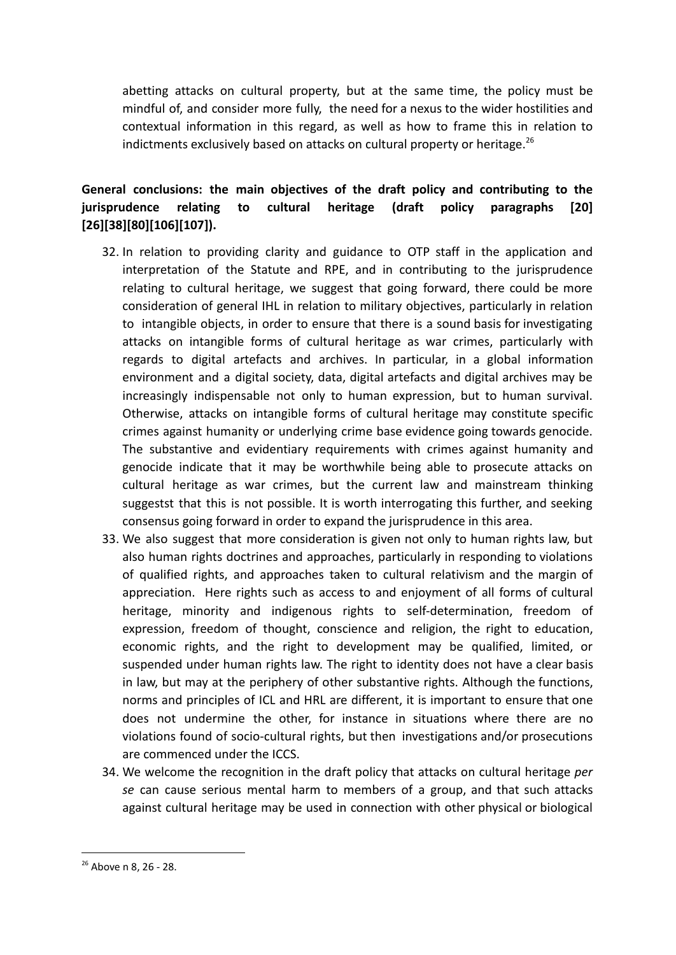abetting attacks on cultural property, but at the same time, the policy must be mindful of, and consider more fully, the need for a nexus to the wider hostilities and contextual information in this regard, as well as how to frame this in relation to indictments exclusively based on attacks on cultural property or heritage. $^{26}$ 

# **General conclusions: the main objectives of the draft policy and contributing to the jurisprudence relating to cultural heritage (draft policy paragraphs [20] [26][38][80][106][107]).**

- 32. In relation to providing clarity and guidance to OTP staff in the application and interpretation of the Statute and RPE, and in contributing to the jurisprudence relating to cultural heritage, we suggest that going forward, there could be more consideration of general IHL in relation to military objectives, particularly in relation to intangible objects, in order to ensure that there is a sound basis for investigating attacks on intangible forms of cultural heritage as war crimes, particularly with regards to digital artefacts and archives. In particular, in a global information environment and a digital society, data, digital artefacts and digital archives may be increasingly indispensable not only to human expression, but to human survival. Otherwise, attacks on intangible forms of cultural heritage may constitute specific crimes against humanity or underlying crime base evidence going towards genocide. The substantive and evidentiary requirements with crimes against humanity and genocide indicate that it may be worthwhile being able to prosecute attacks on cultural heritage as war crimes, but the current law and mainstream thinking suggestst that this is not possible. It is worth interrogating this further, and seeking consensus going forward in order to expand the jurisprudence in this area.
- 33. We also suggest that more consideration is given not only to human rights law, but also human rights doctrines and approaches, particularly in responding to violations of qualified rights, and approaches taken to cultural relativism and the margin of appreciation. Here rights such as access to and enjoyment of all forms of cultural heritage, minority and indigenous rights to self-determination, freedom of expression, freedom of thought, conscience and religion, the right to education, economic rights, and the right to development may be qualified, limited, or suspended under human rights law. The right to identity does not have a clear basis in law, but may at the periphery of other substantive rights. Although the functions, norms and principles of ICL and HRL are different, it is important to ensure that one does not undermine the other, for instance in situations where there are no violations found of socio-cultural rights, but then investigations and/or prosecutions are commenced under the ICCS.
- 34. We welcome the recognition in the draft policy that attacks on cultural heritage *per se* can cause serious mental harm to members of a group, and that such attacks against cultural heritage may be used in connection with other physical or biological

<sup>26</sup> Above n 8, 26 - 28.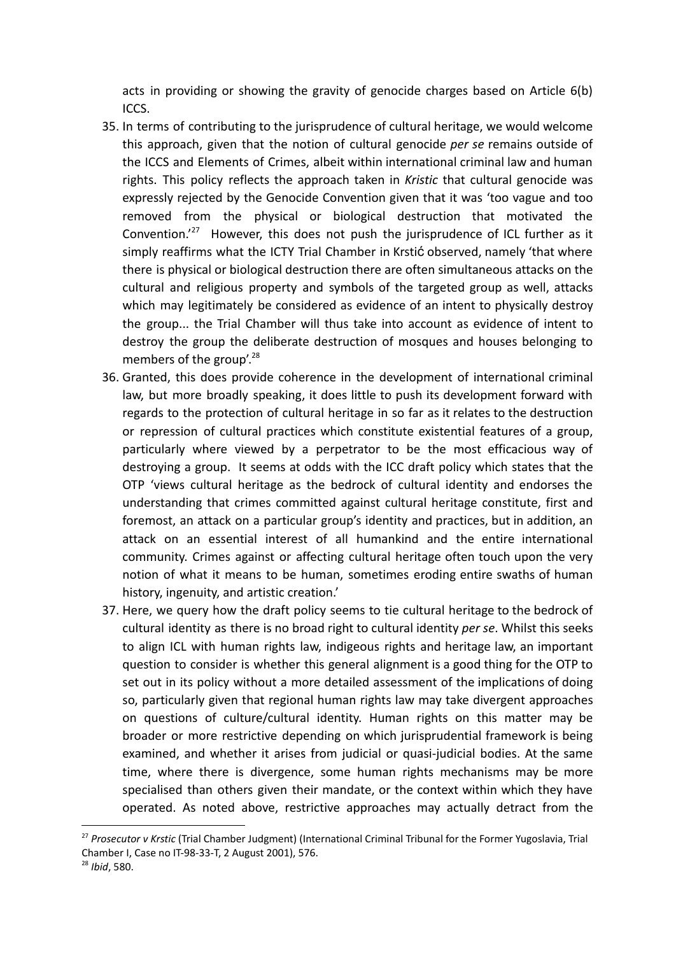acts in providing or showing the gravity of genocide charges based on Article 6(b) ICCS.

- 35. In terms of contributing to the jurisprudence of cultural heritage, we would welcome this approach, given that the notion of cultural genocide *per se* remains outside of the ICCS and Elements of Crimes, albeit within international criminal law and human rights. This policy reflects the approach taken in *Kristic* that cultural genocide was expressly rejected by the Genocide Convention given that it was 'too vague and too removed from the physical or biological destruction that motivated the Convention.<sup>'27</sup> However, this does not push the jurisprudence of ICL further as it simply reaffirms what the ICTY Trial Chamber in Krstić observed, namely 'that where there is physical or biological destruction there are often simultaneous attacks on the cultural and religious property and symbols of the targeted group as well, attacks which may legitimately be considered as evidence of an intent to physically destroy the group... the Trial Chamber will thus take into account as evidence of intent to destroy the group the deliberate destruction of mosques and houses belonging to members of the group'.<sup>28</sup>
- 36. Granted, this does provide coherence in the development of international criminal law, but more broadly speaking, it does little to push its development forward with regards to the protection of cultural heritage in so far as it relates to the destruction or repression of cultural practices which constitute existential features of a group, particularly where viewed by a perpetrator to be the most efficacious way of destroying a group. It seems at odds with the ICC draft policy which states that the OTP 'views cultural heritage as the bedrock of cultural identity and endorses the understanding that crimes committed against cultural heritage constitute, first and foremost, an attack on a particular group's identity and practices, but in addition, an attack on an essential interest of all humankind and the entire international community. Crimes against or affecting cultural heritage often touch upon the very notion of what it means to be human, sometimes eroding entire swaths of human history, ingenuity, and artistic creation.'
- 37. Here, we query how the draft policy seems to tie cultural heritage to the bedrock of cultural identity as there is no broad right to cultural identity *per se*. Whilst this seeks to align ICL with human rights law, indigeous rights and heritage law, an important question to consider is whether this general alignment is a good thing for the OTP to set out in its policy without a more detailed assessment of the implications of doing so, particularly given that regional human rights law may take divergent approaches on questions of culture/cultural identity. Human rights on this matter may be broader or more restrictive depending on which jurisprudential framework is being examined, and whether it arises from judicial or quasi-judicial bodies. At the same time, where there is divergence, some human rights mechanisms may be more specialised than others given their mandate, or the context within which they have operated. As noted above, restrictive approaches may actually detract from the

<sup>27</sup> *Prosecutor v Krstic* (Trial Chamber Judgment) (International Criminal Tribunal for the Former Yugoslavia, Trial Chamber I, Case no IT-98-33-T, 2 August 2001), 576.

<sup>28</sup> *Ibid*, 580.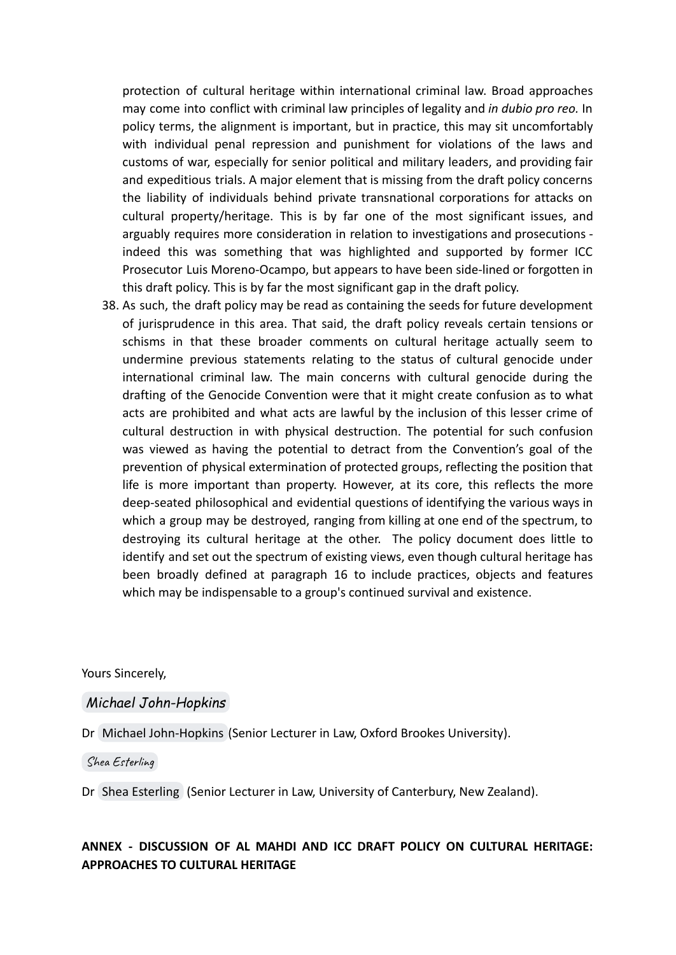protection of cultural heritage within international criminal law. Broad approaches may come into conflict with criminal law principles of legality and *in dubio pro reo.* In policy terms, the alignment is important, but in practice, this may sit uncomfortably with individual penal repression and punishment for violations of the laws and customs of war, especially for senior political and military leaders, and providing fair and expeditious trials. A major element that is missing from the draft policy concerns the liability of individuals behind private transnational corporations for attacks on cultural property/heritage. This is by far one of the most significant issues, and arguably requires more consideration in relation to investigations and prosecutions indeed this was something that was highlighted and supported by former ICC Prosecutor Luis Moreno-Ocampo, but appears to have been side-lined or forgotten in this draft policy. This is by far the most significant gap in the draft policy.

38. As such, the draft policy may be read as containing the seeds for future development of jurisprudence in this area. That said, the draft policy reveals certain tensions or schisms in that these broader comments on cultural heritage actually seem to undermine previous statements relating to the status of cultural genocide under international criminal law. The main concerns with cultural genocide during the drafting of the Genocide Convention were that it might create confusion as to what acts are prohibited and what acts are lawful by the inclusion of this lesser crime of cultural destruction in with physical destruction. The potential for such confusion was viewed as having the potential to detract from the Convention's goal of the prevention of physical extermination of protected groups, reflecting the position that life is more important than property. However, at its core, this reflects the more deep-seated philosophical and evidential questions of identifying the various ways in which a group may be destroyed, ranging from killing at one end of the spectrum, to destroying its cultural heritage at the other. The policy document does little to identify and set out the spectrum of existing views, even though cultural heritage has been broadly defined at paragraph 16 to include practices, objects and features which may be indispensable to a group's continued survival and existence.

Yours Sincerely,

#### *[Michael John-Hopkins](mailto:p0076772@brookes.ac.uk)*

Dr [Michael John-Hopkins](mailto:p0076772@brookes.ac.uk) (Senior Lecturer in Law, Oxford Brookes University).

Shea [Esterling](mailto:shea.esterling@canterbury.ac.nz)

Dr [Shea Esterling](mailto:shea.esterling@canterbury.ac.nz) (Senior Lecturer in Law, University of Canterbury, New Zealand).

### **ANNEX - DISCUSSION OF AL MAHDI AND ICC DRAFT POLICY ON CULTURAL HERITAGE: APPROACHES TO CULTURAL HERITAGE**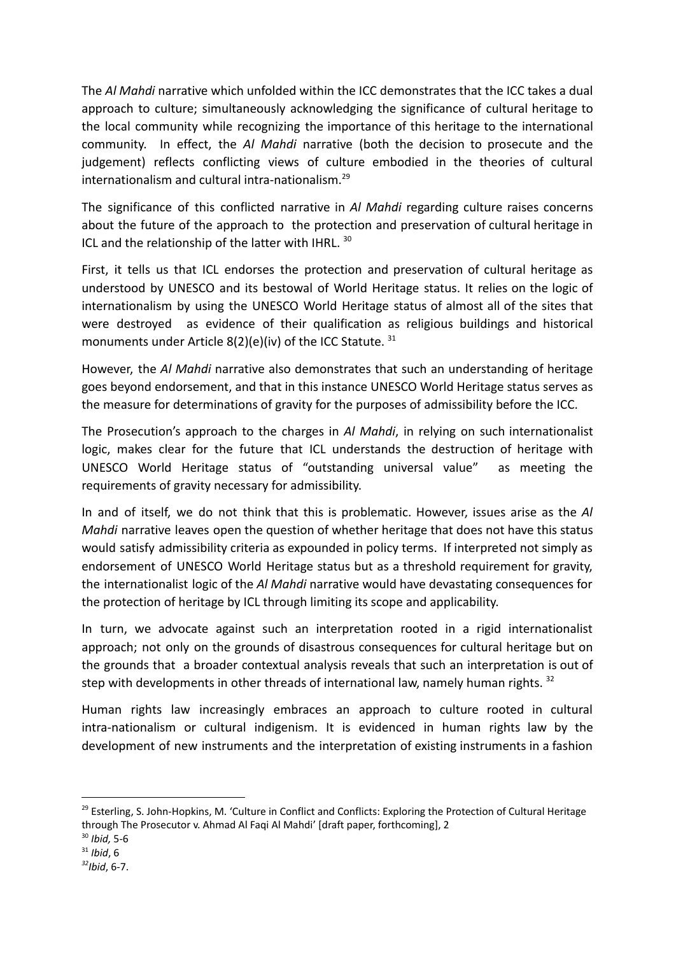The *Al Mahdi* narrative which unfolded within the ICC demonstrates that the ICC takes a dual approach to culture; simultaneously acknowledging the significance of cultural heritage to the local community while recognizing the importance of this heritage to the international community. In effect, the *Al Mahdi* narrative (both the decision to prosecute and the judgement) reflects conflicting views of culture embodied in the theories of cultural internationalism and cultural intra-nationalism.<sup>29</sup>

The significance of this conflicted narrative in *Al Mahdi* regarding culture raises concerns about the future of the approach to the protection and preservation of cultural heritage in ICL and the relationship of the latter with IHRL. 30

First, it tells us that ICL endorses the protection and preservation of cultural heritage as understood by UNESCO and its bestowal of World Heritage status. It relies on the logic of internationalism by using the UNESCO World Heritage status of almost all of the sites that were destroyed as evidence of their qualification as religious buildings and historical monuments under Article  $8(2)(e)(iv)$  of the ICC Statute.  $31$ 

However, the *Al Mahdi* narrative also demonstrates that such an understanding of heritage goes beyond endorsement, and that in this instance UNESCO World Heritage status serves as the measure for determinations of gravity for the purposes of admissibility before the ICC.

The Prosecution's approach to the charges in *Al Mahdi*, in relying on such internationalist logic, makes clear for the future that ICL understands the destruction of heritage with UNESCO World Heritage status of "outstanding universal value" as meeting the requirements of gravity necessary for admissibility.

In and of itself, we do not think that this is problematic. However, issues arise as the *Al Mahdi* narrative leaves open the question of whether heritage that does not have this status would satisfy admissibility criteria as expounded in policy terms. If interpreted not simply as endorsement of UNESCO World Heritage status but as a threshold requirement for gravity, the internationalist logic of the *Al Mahdi* narrative would have devastating consequences for the protection of heritage by ICL through limiting its scope and applicability.

In turn, we advocate against such an interpretation rooted in a rigid internationalist approach; not only on the grounds of disastrous consequences for cultural heritage but on the grounds that a broader contextual analysis reveals that such an interpretation is out of step with developments in other threads of international law, namely human rights.  $32$ 

Human rights law increasingly embraces an approach to culture rooted in cultural intra-nationalism or cultural indigenism. It is evidenced in human rights law by the development of new instruments and the interpretation of existing instruments in a fashion

 $29$  Esterling, S. John-Hopkins, M. 'Culture in Conflict and Conflicts: Exploring the Protection of Cultural Heritage through The Prosecutor v. Ahmad Al Faqi Al Mahdi' [draft paper, forthcoming], 2

<sup>30</sup> *Ibid,* 5-6

<sup>31</sup> *Ibid*, 6

*<sup>32</sup>Ibid*, 6-7.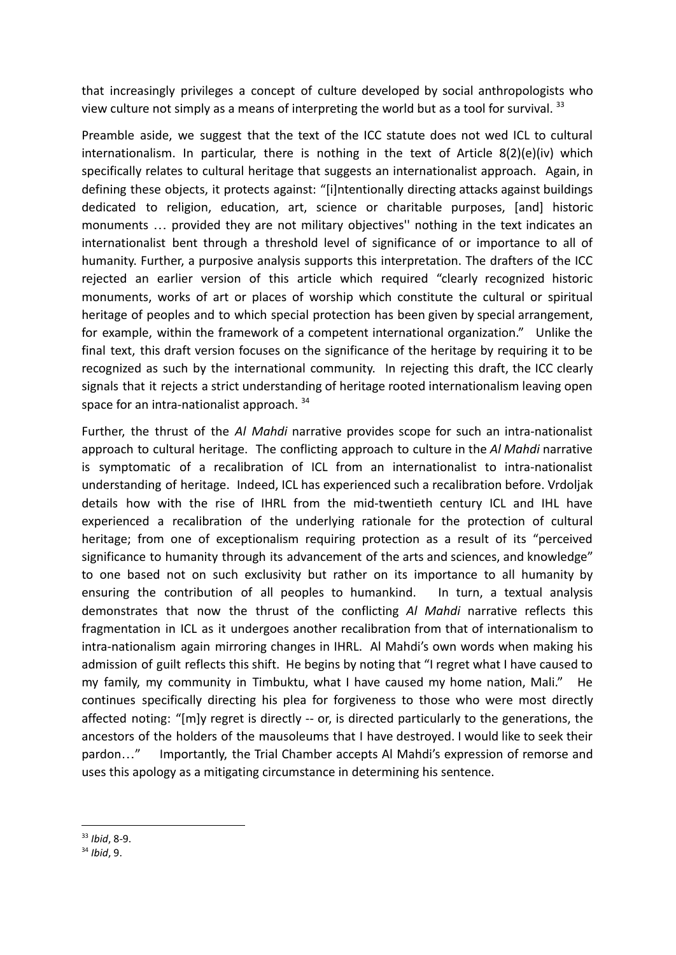that increasingly privileges a concept of culture developed by social anthropologists who view culture not simply as a means of interpreting the world but as a tool for survival.<sup>33</sup>

Preamble aside, we suggest that the text of the ICC statute does not wed ICL to cultural internationalism. In particular, there is nothing in the text of Article  $8(2)(e)(iv)$  which specifically relates to cultural heritage that suggests an internationalist approach. Again, in defining these objects, it protects against: "[i]ntentionally directing attacks against buildings dedicated to religion, education, art, science or charitable purposes, [and] historic monuments … provided they are not military objectives'' nothing in the text indicates an internationalist bent through a threshold level of significance of or importance to all of humanity. Further, a purposive analysis supports this interpretation. The drafters of the ICC rejected an earlier version of this article which required "clearly recognized historic monuments, works of art or places of worship which constitute the cultural or spiritual heritage of peoples and to which special protection has been given by special arrangement, for example, within the framework of a competent international organization." Unlike the final text, this draft version focuses on the significance of the heritage by requiring it to be recognized as such by the international community. In rejecting this draft, the ICC clearly signals that it rejects a strict understanding of heritage rooted internationalism leaving open space for an intra-nationalist approach.<sup>34</sup>

Further, the thrust of the *Al Mahdi* narrative provides scope for such an intra-nationalist approach to cultural heritage. The conflicting approach to culture in the *Al Mahdi* narrative is symptomatic of a recalibration of ICL from an internationalist to intra-nationalist understanding of heritage. Indeed, ICL has experienced such a recalibration before. Vrdoljak details how with the rise of IHRL from the mid-twentieth century ICL and IHL have experienced a recalibration of the underlying rationale for the protection of cultural heritage; from one of exceptionalism requiring protection as a result of its "perceived significance to humanity through its advancement of the arts and sciences, and knowledge" to one based not on such exclusivity but rather on its importance to all humanity by ensuring the contribution of all peoples to humankind. In turn, a textual analysis demonstrates that now the thrust of the conflicting *Al Mahdi* narrative reflects this fragmentation in ICL as it undergoes another recalibration from that of internationalism to intra-nationalism again mirroring changes in IHRL. Al Mahdi's own words when making his admission of guilt reflects this shift. He begins by noting that "I regret what I have caused to my family, my community in Timbuktu, what I have caused my home nation, Mali." He continues specifically directing his plea for forgiveness to those who were most directly affected noting: "[m]y regret is directly -- or, is directed particularly to the generations, the ancestors of the holders of the mausoleums that I have destroyed. I would like to seek their pardon…" Importantly, the Trial Chamber accepts Al Mahdi's expression of remorse and uses this apology as a mitigating circumstance in determining his sentence.

<sup>33</sup> *Ibid*, 8-9.

<sup>34</sup> *Ibid*, 9.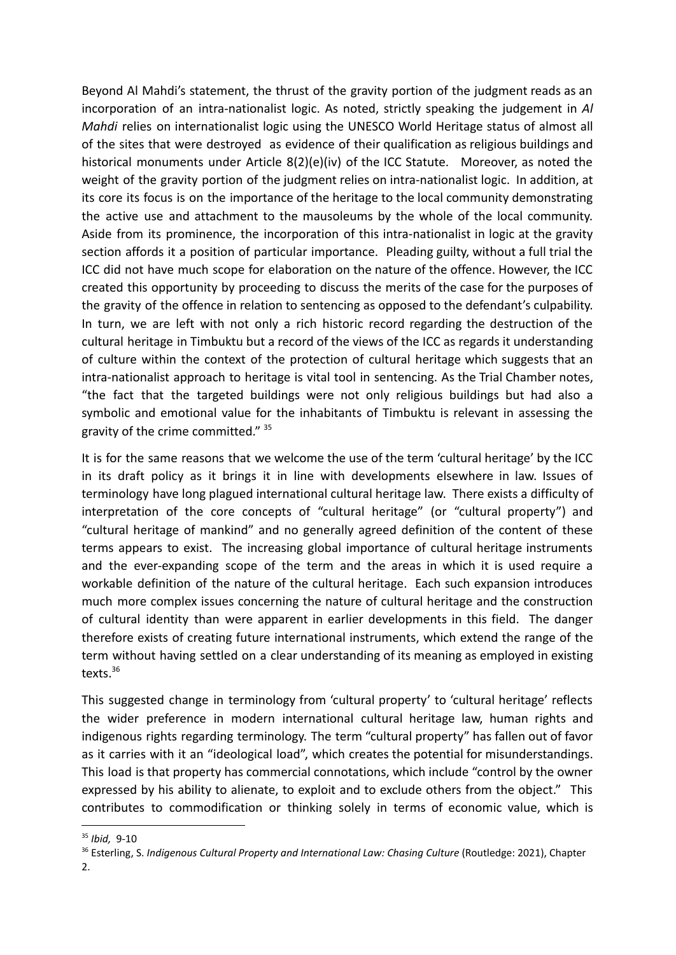Beyond Al Mahdi's statement, the thrust of the gravity portion of the judgment reads as an incorporation of an intra-nationalist logic. As noted, strictly speaking the judgement in *Al Mahdi* relies on internationalist logic using the UNESCO World Heritage status of almost all of the sites that were destroyed as evidence of their qualification as religious buildings and historical monuments under Article 8(2)(e)(iv) of the ICC Statute. Moreover, as noted the weight of the gravity portion of the judgment relies on intra-nationalist logic. In addition, at its core its focus is on the importance of the heritage to the local community demonstrating the active use and attachment to the mausoleums by the whole of the local community. Aside from its prominence, the incorporation of this intra-nationalist in logic at the gravity section affords it a position of particular importance. Pleading guilty, without a full trial the ICC did not have much scope for elaboration on the nature of the offence. However, the ICC created this opportunity by proceeding to discuss the merits of the case for the purposes of the gravity of the offence in relation to sentencing as opposed to the defendant's culpability. In turn, we are left with not only a rich historic record regarding the destruction of the cultural heritage in Timbuktu but a record of the views of the ICC as regards it understanding of culture within the context of the protection of cultural heritage which suggests that an intra-nationalist approach to heritage is vital tool in sentencing. As the Trial Chamber notes, "the fact that the targeted buildings were not only religious buildings but had also a symbolic and emotional value for the inhabitants of Timbuktu is relevant in assessing the gravity of the crime committed." 35

It is for the same reasons that we welcome the use of the term 'cultural heritage' by the ICC in its draft policy as it brings it in line with developments elsewhere in law. Issues of terminology have long plagued international cultural heritage law. There exists a difficulty of interpretation of the core concepts of "cultural heritage" (or "cultural property") and "cultural heritage of mankind" and no generally agreed definition of the content of these terms appears to exist. The increasing global importance of cultural heritage instruments and the ever-expanding scope of the term and the areas in which it is used require a workable definition of the nature of the cultural heritage. Each such expansion introduces much more complex issues concerning the nature of cultural heritage and the construction of cultural identity than were apparent in earlier developments in this field. The danger therefore exists of creating future international instruments, which extend the range of the term without having settled on a clear understanding of its meaning as employed in existing texts.<sup>36</sup>

This suggested change in terminology from 'cultural property' to 'cultural heritage' reflects the wider preference in modern international cultural heritage law, human rights and indigenous rights regarding terminology. The term "cultural property" has fallen out of favor as it carries with it an "ideological load", which creates the potential for misunderstandings. This load is that property has commercial connotations, which include "control by the owner expressed by his ability to alienate, to exploit and to exclude others from the object." This contributes to commodification or thinking solely in terms of economic value, which is

<sup>35</sup> *Ibid,* 9-10

<sup>36</sup> Esterling, S. *Indigenous Cultural Property and International Law: Chasing Culture* (Routledge: 2021), Chapter  $\mathcal{L}$